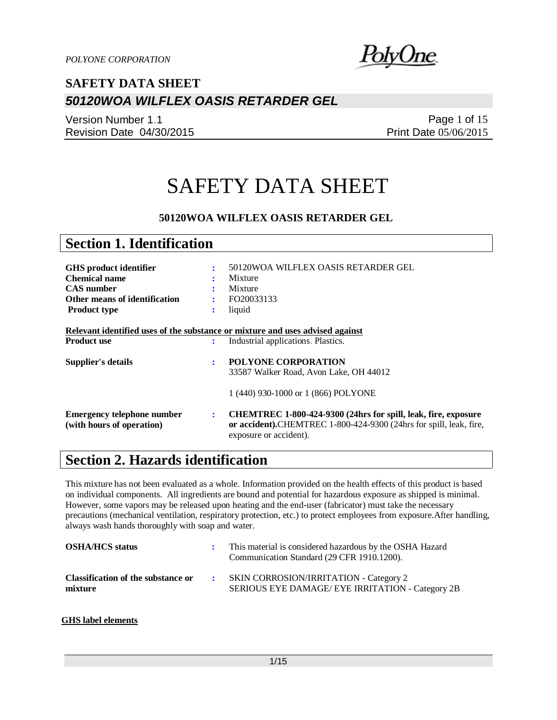

Version Number 1.1 Revision Date 04/30/2015

Page 1 of 15 Print Date 05/06/2015

# SAFETY DATA SHEET

### **50120WOA WILFLEX OASIS RETARDER GEL**

| <b>Section 1. Identification</b>                               |   |                                                                                                                                                                |
|----------------------------------------------------------------|---|----------------------------------------------------------------------------------------------------------------------------------------------------------------|
|                                                                |   |                                                                                                                                                                |
| <b>GHS</b> product identifier                                  | ÷ | 50120WOA WILFLEX OASIS RETARDER GEL                                                                                                                            |
| <b>Chemical name</b>                                           |   | Mixture                                                                                                                                                        |
| <b>CAS</b> number                                              |   | Mixture                                                                                                                                                        |
| Other means of identification                                  |   | FO20033133                                                                                                                                                     |
| <b>Product type</b>                                            | ÷ | liquid                                                                                                                                                         |
| <b>Product use</b>                                             | ÷ | Relevant identified uses of the substance or mixture and uses advised against<br>Industrial applications. Plastics.                                            |
|                                                                |   |                                                                                                                                                                |
| <b>Supplier's details</b>                                      | ÷ | <b>POLYONE CORPORATION</b>                                                                                                                                     |
|                                                                |   | 33587 Walker Road, Avon Lake, OH 44012                                                                                                                         |
|                                                                |   | 1 (440) 930-1000 or 1 (866) POLYONE                                                                                                                            |
| <b>Emergency telephone number</b><br>(with hours of operation) | ÷ | CHEMTREC 1-800-424-9300 (24hrs for spill, leak, fire, exposure<br>or accident).CHEMTREC 1-800-424-9300 (24hrs for spill, leak, fire,<br>exposure or accident). |

### **Section 2. Hazards identification**

This mixture has not been evaluated as a whole. Information provided on the health effects of this product is based on individual components. All ingredients are bound and potential for hazardous exposure as shipped is minimal. However, some vapors may be released upon heating and the end-user (fabricator) must take the necessary precautions (mechanical ventilation, respiratory protection, etc.) to protect employees from exposure.After handling, always wash hands thoroughly with soap and water.

| <b>OSHA/HCS</b> status                        | This material is considered hazardous by the OSHA Hazard<br>Communication Standard (29 CFR 1910.1200). |
|-----------------------------------------------|--------------------------------------------------------------------------------------------------------|
| Classification of the substance or<br>mixture | <b>SKIN CORROSION/IRRITATION - Category 2</b><br>SERIOUS EYE DAMAGE/ EYE IRRITATION - Category 2B      |

#### **GHS label elements**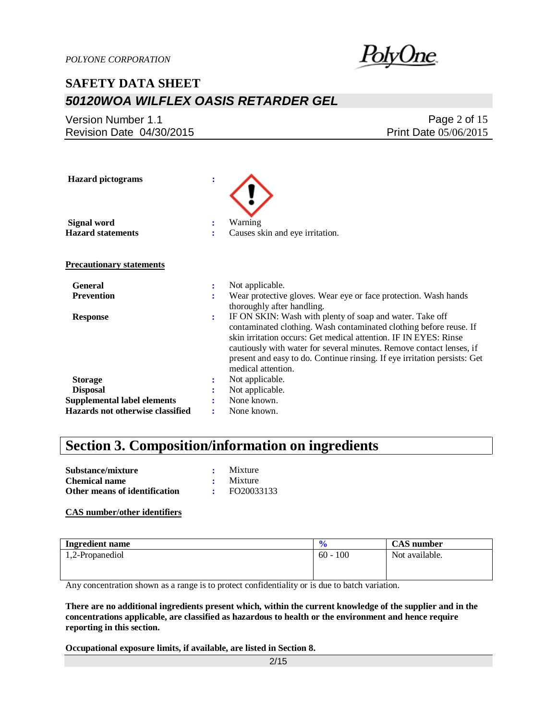

Version Number 1.1 Revision Date 04/30/2015

Page 2 of 15 Print Date 05/06/2015

| <b>Hazard</b> pictograms           | ÷              |                                                                                                                                                                                                                                                                                                                                                         |
|------------------------------------|----------------|---------------------------------------------------------------------------------------------------------------------------------------------------------------------------------------------------------------------------------------------------------------------------------------------------------------------------------------------------------|
| Signal word                        | ÷              | Warning                                                                                                                                                                                                                                                                                                                                                 |
| <b>Hazard statements</b>           |                | Causes skin and eye irritation.                                                                                                                                                                                                                                                                                                                         |
| <b>Precautionary statements</b>    |                |                                                                                                                                                                                                                                                                                                                                                         |
| <b>General</b>                     | ÷              | Not applicable.                                                                                                                                                                                                                                                                                                                                         |
| <b>Prevention</b>                  | ÷              | Wear protective gloves. Wear eye or face protection. Wash hands<br>thoroughly after handling.                                                                                                                                                                                                                                                           |
| <b>Response</b>                    | $\ddot{\cdot}$ | IF ON SKIN: Wash with plenty of soap and water. Take off<br>contaminated clothing. Wash contaminated clothing before reuse. If<br>skin irritation occurs: Get medical attention. IF IN EYES: Rinse<br>cautiously with water for several minutes. Remove contact lenses, if<br>present and easy to do. Continue rinsing. If eye irritation persists: Get |
|                                    |                | medical attention.                                                                                                                                                                                                                                                                                                                                      |
| <b>Storage</b>                     |                | Not applicable.                                                                                                                                                                                                                                                                                                                                         |
| <b>Disposal</b>                    |                | Not applicable.                                                                                                                                                                                                                                                                                                                                         |
| <b>Supplemental label elements</b> |                | None known.                                                                                                                                                                                                                                                                                                                                             |
| Hazards not otherwise classified   |                | None known.                                                                                                                                                                                                                                                                                                                                             |

## **Section 3. Composition/information on ingredients**

| Substance/mixture             | Mixture    |
|-------------------------------|------------|
| <b>Chemical name</b>          | Mixture    |
| Other means of identification | FO20033133 |

#### **CAS number/other identifiers**

| <b>Ingredient name</b> |            | <b>CAS</b> number |
|------------------------|------------|-------------------|
| 1,2-Propanediol        | $60 - 100$ | Not available.    |
|                        |            |                   |

Any concentration shown as a range is to protect confidentiality or is due to batch variation.

**There are no additional ingredients present which, within the current knowledge of the supplier and in the concentrations applicable, are classified as hazardous to health or the environment and hence require reporting in this section.**

**Occupational exposure limits, if available, are listed in Section 8.**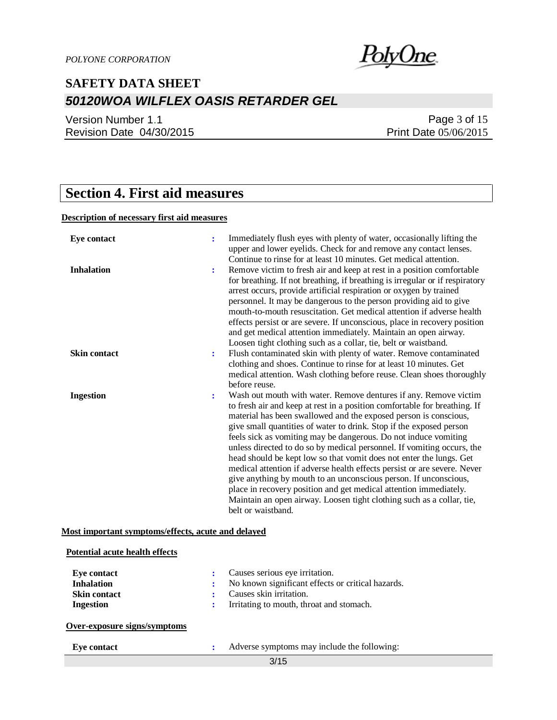

Version Number 1.1 Revision Date 04/30/2015

Page 3 of 15 Print Date 05/06/2015

## **Section 4. First aid measures**

#### **Description of necessary first aid measures**

| <b>Eye contact</b>  | ÷ | Immediately flush eyes with plenty of water, occasionally lifting the<br>upper and lower eyelids. Check for and remove any contact lenses.<br>Continue to rinse for at least 10 minutes. Get medical attention.                                                                                                                                                                                                                                                                                                                                                                                                                                                                                                                                                                                                                  |
|---------------------|---|----------------------------------------------------------------------------------------------------------------------------------------------------------------------------------------------------------------------------------------------------------------------------------------------------------------------------------------------------------------------------------------------------------------------------------------------------------------------------------------------------------------------------------------------------------------------------------------------------------------------------------------------------------------------------------------------------------------------------------------------------------------------------------------------------------------------------------|
| <b>Inhalation</b>   | ÷ | Remove victim to fresh air and keep at rest in a position comfortable<br>for breathing. If not breathing, if breathing is irregular or if respiratory<br>arrest occurs, provide artificial respiration or oxygen by trained<br>personnel. It may be dangerous to the person providing aid to give<br>mouth-to-mouth resuscitation. Get medical attention if adverse health<br>effects persist or are severe. If unconscious, place in recovery position<br>and get medical attention immediately. Maintain an open airway.<br>Loosen tight clothing such as a collar, tie, belt or waistband.                                                                                                                                                                                                                                    |
| <b>Skin contact</b> | ÷ | Flush contaminated skin with plenty of water. Remove contaminated<br>clothing and shoes. Continue to rinse for at least 10 minutes. Get<br>medical attention. Wash clothing before reuse. Clean shoes thoroughly<br>before reuse.                                                                                                                                                                                                                                                                                                                                                                                                                                                                                                                                                                                                |
| <b>Ingestion</b>    | ÷ | Wash out mouth with water. Remove dentures if any. Remove victim<br>to fresh air and keep at rest in a position comfortable for breathing. If<br>material has been swallowed and the exposed person is conscious,<br>give small quantities of water to drink. Stop if the exposed person<br>feels sick as vomiting may be dangerous. Do not induce vomiting<br>unless directed to do so by medical personnel. If vomiting occurs, the<br>head should be kept low so that vomit does not enter the lungs. Get<br>medical attention if adverse health effects persist or are severe. Never<br>give anything by mouth to an unconscious person. If unconscious,<br>place in recovery position and get medical attention immediately.<br>Maintain an open airway. Loosen tight clothing such as a collar, tie,<br>belt or waistband. |

#### **Most important symptoms/effects, acute and delayed**

| <b>Potential acute health effects</b> |                                                   |
|---------------------------------------|---------------------------------------------------|
| Eye contact                           | Causes serious eye irritation.                    |
| <b>Inhalation</b>                     | No known significant effects or critical hazards. |
| <b>Skin contact</b>                   | Causes skin irritation.                           |
| <b>Ingestion</b>                      | Irritating to mouth, throat and stomach.          |
| Over-exposure signs/symptoms          |                                                   |
| <b>Eye contact</b>                    | Adverse symptoms may include the following:       |
|                                       | 3/15                                              |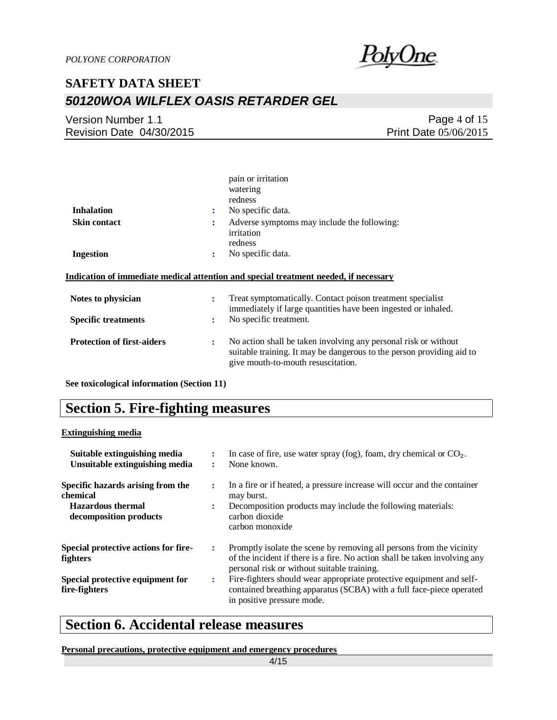

Version Number 1.1 Revision Date 04/30/2015

Page 4 of 15 Print Date 05/06/2015

|                                   | pain or irritation<br>watering<br>redness                                                                                                                                           |
|-----------------------------------|-------------------------------------------------------------------------------------------------------------------------------------------------------------------------------------|
| <b>Inhalation</b>                 | No specific data.<br>÷                                                                                                                                                              |
| <b>Skin contact</b>               | Adverse symptoms may include the following:<br>٠.<br>irritation<br>redness                                                                                                          |
| <b>Ingestion</b>                  | No specific data.<br>:                                                                                                                                                              |
|                                   | Indication of immediate medical attention and special treatment needed, if necessary                                                                                                |
| Notes to physician                | Treat symptomatically. Contact poison treatment specialist<br>÷<br>immediately if large quantities have been ingested or inhaled.                                                   |
| <b>Specific treatments</b>        | No specific treatment.<br>÷                                                                                                                                                         |
| <b>Protection of first-aiders</b> | No action shall be taken involving any personal risk or without<br>÷<br>suitable training. It may be dangerous to the person providing aid to<br>give mouth-to-mouth resuscitation. |

**See toxicological information (Section 11)**

### **Section 5. Fire-fighting measures**

#### **Extinguishing media**

| Suitable extinguishing media<br>Unsuitable extinguishing media                                      | $\bullet$ | In case of fire, use water spray (fog), foam, dry chemical or $CO2$ .<br>None known.                                                                                                              |
|-----------------------------------------------------------------------------------------------------|-----------|---------------------------------------------------------------------------------------------------------------------------------------------------------------------------------------------------|
| Specific hazards arising from the<br>chemical<br><b>Hazardous thermal</b><br>decomposition products | ÷<br>÷    | In a fire or if heated, a pressure increase will occur and the container<br>may burst.<br>Decomposition products may include the following materials:<br>carbon dioxide<br>carbon monoxide        |
| Special protective actions for fire-<br><b>fighters</b>                                             | ÷         | Promptly isolate the scene by removing all persons from the vicinity<br>of the incident if there is a fire. No action shall be taken involving any<br>personal risk or without suitable training. |
| Special protective equipment for<br>fire-fighters                                                   | ÷         | Fire-fighters should wear appropriate protective equipment and self-<br>contained breathing apparatus (SCBA) with a full face-piece operated<br>in positive pressure mode.                        |

## **Section 6. Accidental release measures**

**Personal precautions, protective equipment and emergency procedures**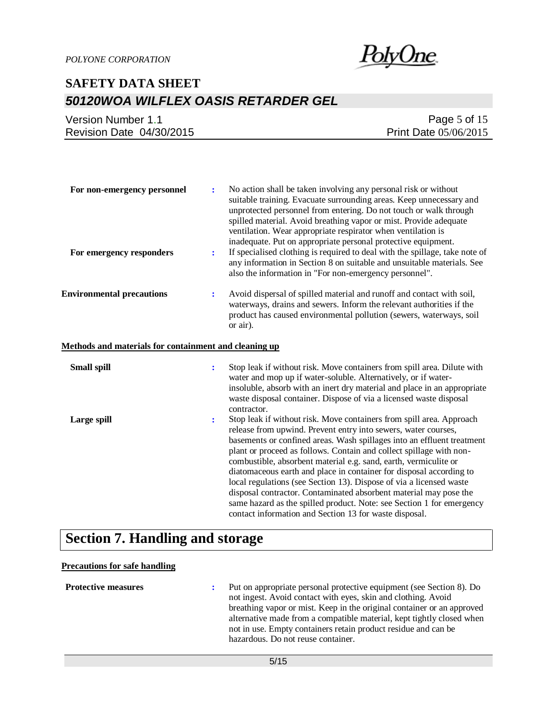

| Version Number 1.1       | Page 5 of 15                 |
|--------------------------|------------------------------|
| Revision Date 04/30/2015 | <b>Print Date 05/06/2015</b> |

| For non-emergency personnel                           | ÷                    | No action shall be taken involving any personal risk or without<br>suitable training. Evacuate surrounding areas. Keep unnecessary and<br>unprotected personnel from entering. Do not touch or walk through<br>spilled material. Avoid breathing vapor or mist. Provide adequate<br>ventilation. Wear appropriate respirator when ventilation is<br>inadequate. Put on appropriate personal protective equipment.                                                                                                                                                                                                                                                                                                 |
|-------------------------------------------------------|----------------------|-------------------------------------------------------------------------------------------------------------------------------------------------------------------------------------------------------------------------------------------------------------------------------------------------------------------------------------------------------------------------------------------------------------------------------------------------------------------------------------------------------------------------------------------------------------------------------------------------------------------------------------------------------------------------------------------------------------------|
| For emergency responders                              | $\ddot{\cdot}$       | If specialised clothing is required to deal with the spillage, take note of<br>any information in Section 8 on suitable and unsuitable materials. See<br>also the information in "For non-emergency personnel".                                                                                                                                                                                                                                                                                                                                                                                                                                                                                                   |
| <b>Environmental precautions</b>                      | ÷                    | Avoid dispersal of spilled material and runoff and contact with soil,<br>waterways, drains and sewers. Inform the relevant authorities if the<br>product has caused environmental pollution (sewers, waterways, soil<br>or air).                                                                                                                                                                                                                                                                                                                                                                                                                                                                                  |
| Methods and materials for containment and cleaning up |                      |                                                                                                                                                                                                                                                                                                                                                                                                                                                                                                                                                                                                                                                                                                                   |
| <b>Small spill</b>                                    | $\ddot{\phantom{a}}$ | Stop leak if without risk. Move containers from spill area. Dilute with<br>water and mop up if water-soluble. Alternatively, or if water-<br>insoluble, absorb with an inert dry material and place in an appropriate<br>waste disposal container. Dispose of via a licensed waste disposal<br>contractor.                                                                                                                                                                                                                                                                                                                                                                                                        |
| Large spill                                           | $\ddot{\phantom{a}}$ | Stop leak if without risk. Move containers from spill area. Approach<br>release from upwind. Prevent entry into sewers, water courses,<br>basements or confined areas. Wash spillages into an effluent treatment<br>plant or proceed as follows. Contain and collect spillage with non-<br>combustible, absorbent material e.g. sand, earth, vermiculite or<br>diatomaceous earth and place in container for disposal according to<br>local regulations (see Section 13). Dispose of via a licensed waste<br>disposal contractor. Contaminated absorbent material may pose the<br>same hazard as the spilled product. Note: see Section 1 for emergency<br>contact information and Section 13 for waste disposal. |

## **Section 7. Handling and storage**

### **Precautions for safe handling**

| <b>Protective measures</b> | Put on appropriate personal protective equipment (see Section 8). Do<br>not ingest. Avoid contact with eyes, skin and clothing. Avoid<br>breathing vapor or mist. Keep in the original container or an approved<br>alternative made from a compatible material, kept tightly closed when<br>not in use. Empty containers retain product residue and can be<br>hazardous. Do not reuse container. |
|----------------------------|--------------------------------------------------------------------------------------------------------------------------------------------------------------------------------------------------------------------------------------------------------------------------------------------------------------------------------------------------------------------------------------------------|
|                            |                                                                                                                                                                                                                                                                                                                                                                                                  |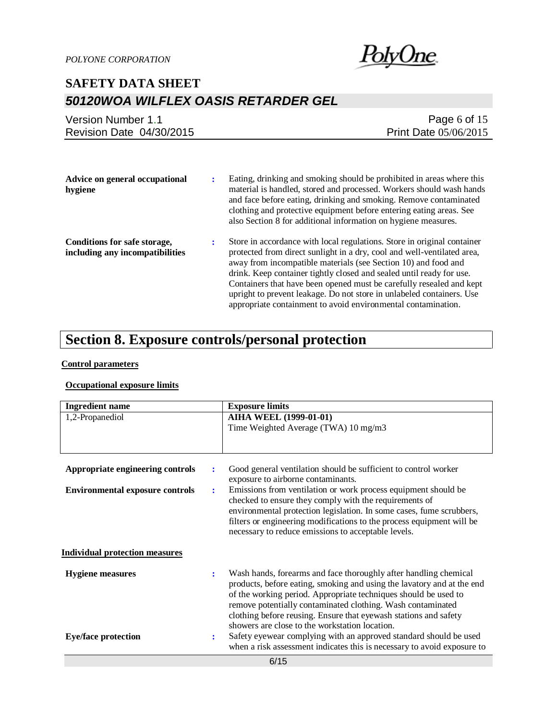

| Version Number 1.1       | Page 6 of 15                 |
|--------------------------|------------------------------|
| Revision Date 04/30/2015 | <b>Print Date 05/06/2015</b> |
|                          |                              |

| Advice on general occupational<br>hygiene                       |  | Eating, drinking and smoking should be prohibited in areas where this<br>material is handled, stored and processed. Workers should wash hands<br>and face before eating, drinking and smoking. Remove contaminated<br>clothing and protective equipment before entering eating areas. See<br>also Section 8 for additional information on hygiene measures.                                                                                                                                                    |
|-----------------------------------------------------------------|--|----------------------------------------------------------------------------------------------------------------------------------------------------------------------------------------------------------------------------------------------------------------------------------------------------------------------------------------------------------------------------------------------------------------------------------------------------------------------------------------------------------------|
| Conditions for safe storage,<br>including any incompatibilities |  | Store in accordance with local regulations. Store in original container<br>protected from direct sunlight in a dry, cool and well-ventilated area,<br>away from incompatible materials (see Section 10) and food and<br>drink. Keep container tightly closed and sealed until ready for use.<br>Containers that have been opened must be carefully resealed and kept<br>upright to prevent leakage. Do not store in unlabeled containers. Use<br>appropriate containment to avoid environmental contamination. |

## **Section 8. Exposure controls/personal protection**

#### **Control parameters**

### **Occupational exposure limits**

| <b>Ingredient name</b>                 |                | <b>Exposure limits</b>                                                                                                                                                                                                                                                                                                                                                                             |
|----------------------------------------|----------------|----------------------------------------------------------------------------------------------------------------------------------------------------------------------------------------------------------------------------------------------------------------------------------------------------------------------------------------------------------------------------------------------------|
| 1,2-Propanediol                        |                | <b>AIHA WEEL (1999-01-01)</b>                                                                                                                                                                                                                                                                                                                                                                      |
|                                        |                | Time Weighted Average (TWA) 10 mg/m3                                                                                                                                                                                                                                                                                                                                                               |
|                                        |                |                                                                                                                                                                                                                                                                                                                                                                                                    |
|                                        |                |                                                                                                                                                                                                                                                                                                                                                                                                    |
| Appropriate engineering controls       | ÷              | Good general ventilation should be sufficient to control worker<br>exposure to airborne contaminants.                                                                                                                                                                                                                                                                                              |
| <b>Environmental exposure controls</b> | $\ddot{\cdot}$ | Emissions from ventilation or work process equipment should be<br>checked to ensure they comply with the requirements of<br>environmental protection legislation. In some cases, fume scrubbers,<br>filters or engineering modifications to the process equipment will be<br>necessary to reduce emissions to acceptable levels.                                                                   |
|                                        |                |                                                                                                                                                                                                                                                                                                                                                                                                    |
| <b>Individual protection measures</b>  |                |                                                                                                                                                                                                                                                                                                                                                                                                    |
| <b>Hygiene</b> measures                | ÷              | Wash hands, forearms and face thoroughly after handling chemical<br>products, before eating, smoking and using the lavatory and at the end<br>of the working period. Appropriate techniques should be used to<br>remove potentially contaminated clothing. Wash contaminated<br>clothing before reusing. Ensure that eyewash stations and safety<br>showers are close to the workstation location. |
| <b>Eye/face protection</b>             | $\ddot{\cdot}$ | Safety eyewear complying with an approved standard should be used<br>when a risk assessment indicates this is necessary to avoid exposure to                                                                                                                                                                                                                                                       |
|                                        |                | 011F                                                                                                                                                                                                                                                                                                                                                                                               |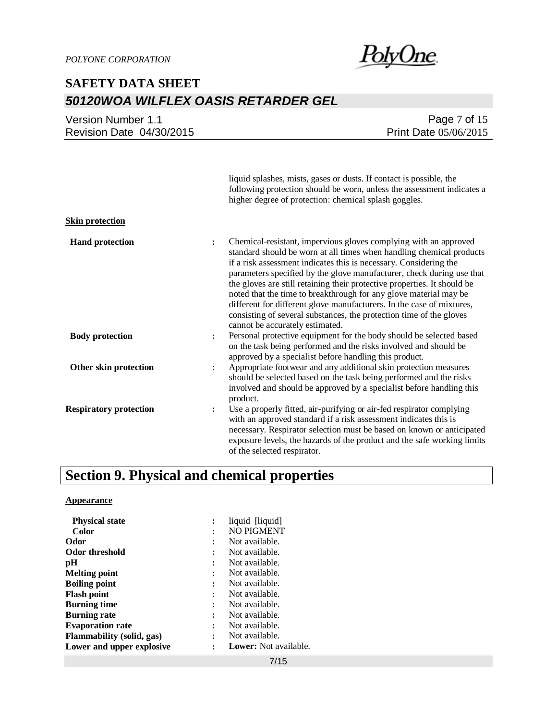PolyOne

| Version Number 1.1       | Page $7$ of 15               |
|--------------------------|------------------------------|
| Revision Date 04/30/2015 | <b>Print Date 05/06/2015</b> |
|                          |                              |

liquid splashes, mists, gases or dusts. If contact is possible, the following protection should be worn, unless the assessment indicates a higher degree of protection: chemical splash goggles.

#### **Skin protection**

| <b>Hand protection</b>        | Chemical-resistant, impervious gloves complying with an approved<br>:<br>standard should be worn at all times when handling chemical products<br>if a risk assessment indicates this is necessary. Considering the<br>parameters specified by the glove manufacturer, check during use that<br>the gloves are still retaining their protective properties. It should be<br>noted that the time to breakthrough for any glove material may be<br>different for different glove manufacturers. In the case of mixtures,<br>consisting of several substances, the protection time of the gloves<br>cannot be accurately estimated. |
|-------------------------------|---------------------------------------------------------------------------------------------------------------------------------------------------------------------------------------------------------------------------------------------------------------------------------------------------------------------------------------------------------------------------------------------------------------------------------------------------------------------------------------------------------------------------------------------------------------------------------------------------------------------------------|
| <b>Body protection</b>        | Personal protective equipment for the body should be selected based<br>on the task being performed and the risks involved and should be<br>approved by a specialist before handling this product.                                                                                                                                                                                                                                                                                                                                                                                                                               |
| Other skin protection         | Appropriate footwear and any additional skin protection measures<br>÷<br>should be selected based on the task being performed and the risks<br>involved and should be approved by a specialist before handling this<br>product.                                                                                                                                                                                                                                                                                                                                                                                                 |
| <b>Respiratory protection</b> | Use a properly fitted, air-purifying or air-fed respirator complying<br>÷<br>with an approved standard if a risk assessment indicates this is<br>necessary. Respirator selection must be based on known or anticipated<br>exposure levels, the hazards of the product and the safe working limits<br>of the selected respirator.                                                                                                                                                                                                                                                                                                |

## **Section 9. Physical and chemical properties**

#### **Appearance**

| <b>Physical state</b>            |   | liquid [liquid]              |
|----------------------------------|---|------------------------------|
| <b>Color</b>                     |   | <b>NO PIGMENT</b>            |
| Odor                             |   | Not available.               |
| Odor threshold                   |   | Not available.               |
| рH                               |   | Not available.               |
| <b>Melting point</b>             |   | Not available.               |
| <b>Boiling point</b>             | ፡ | Not available.               |
| <b>Flash point</b>               | ÷ | Not available.               |
| <b>Burning time</b>              | ÷ | Not available.               |
| <b>Burning rate</b>              | İ | Not available.               |
| <b>Evaporation rate</b>          | İ | Not available.               |
| <b>Flammability</b> (solid, gas) | ÷ | Not available.               |
| Lower and upper explosive        |   | <b>Lower:</b> Not available. |
|                                  |   |                              |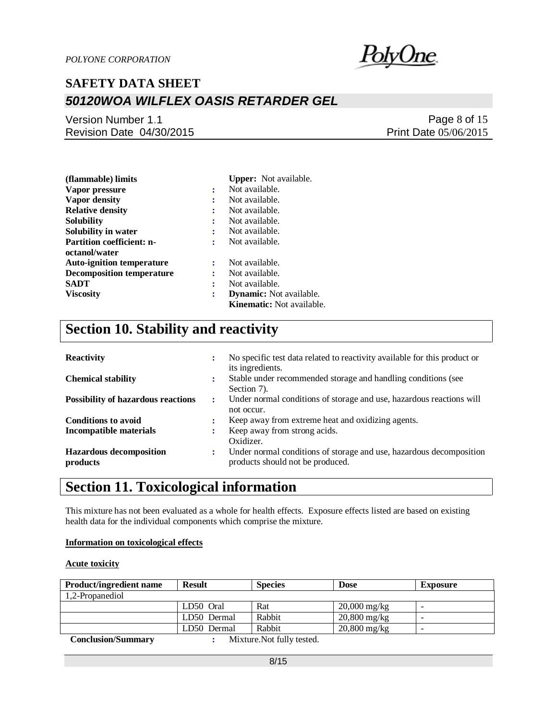

### Version Number 1.1 Revision Date 04/30/2015

Page 8 of 15 Print Date 05/06/2015

| (flammable) limits               |   | <b>Upper:</b> Not available.     |
|----------------------------------|---|----------------------------------|
| Vapor pressure                   | ÷ | Not available.                   |
| Vapor density                    | : | Not available.                   |
| <b>Relative density</b>          | : | Not available.                   |
| Solubility                       | : | Not available.                   |
| Solubility in water              | : | Not available.                   |
| <b>Partition coefficient: n-</b> | : | Not available.                   |
| octanol/water                    |   |                                  |
| <b>Auto-ignition temperature</b> | ÷ | Not available.                   |
| <b>Decomposition temperature</b> | ÷ | Not available.                   |
| SADT                             | ÷ | Not available.                   |
| <b>Viscosity</b>                 | : | <b>Dynamic:</b> Not available.   |
|                                  |   | <b>Kinematic:</b> Not available. |

## **Section 10. Stability and reactivity**

| <b>Reactivity</b>                          | ٠<br>$\bullet$ | No specific test data related to reactivity available for this product or<br>its ingredients.           |
|--------------------------------------------|----------------|---------------------------------------------------------------------------------------------------------|
| <b>Chemical stability</b>                  | ٠              | Stable under recommended storage and handling conditions (see<br>Section 7).                            |
| <b>Possibility of hazardous reactions</b>  | ÷              | Under normal conditions of storage and use, hazardous reactions will<br>not occur.                      |
| <b>Conditions to avoid</b>                 | $\bullet$      | Keep away from extreme heat and oxidizing agents.                                                       |
| <b>Incompatible materials</b>              |                | Keep away from strong acids.<br>Oxidizer.                                                               |
| <b>Hazardous decomposition</b><br>products | :              | Under normal conditions of storage and use, hazardous decomposition<br>products should not be produced. |

## **Section 11. Toxicological information**

This mixture has not been evaluated as a whole for health effects. Exposure effects listed are based on existing health data for the individual components which comprise the mixture.

#### **Information on toxicological effects**

#### **Acute toxicity**

| <b>Product/ingredient name</b> | <b>Result</b> | <b>Species</b>                                                                                      | <b>Dose</b>    | <b>Exposure</b>          |
|--------------------------------|---------------|-----------------------------------------------------------------------------------------------------|----------------|--------------------------|
| 1,2-Propanediol                |               |                                                                                                     |                |                          |
|                                | LD50 Oral     | Rat                                                                                                 | $20,000$ mg/kg |                          |
|                                | LD50 Dermal   | Rabbit                                                                                              | $20,800$ mg/kg |                          |
|                                | LD50 Dermal   | Rabbit                                                                                              | $20,800$ mg/kg | $\overline{\phantom{a}}$ |
| $\alpha$ $\alpha$              |               | $\mathbf{M}^*$ and $\mathbf{M}$ and $\mathbf{M}$ and $\mathbf{M}$ and $\mathbf{M}$ and $\mathbf{M}$ |                |                          |

 **Conclusion/Summary :** Mixture.Not fully tested.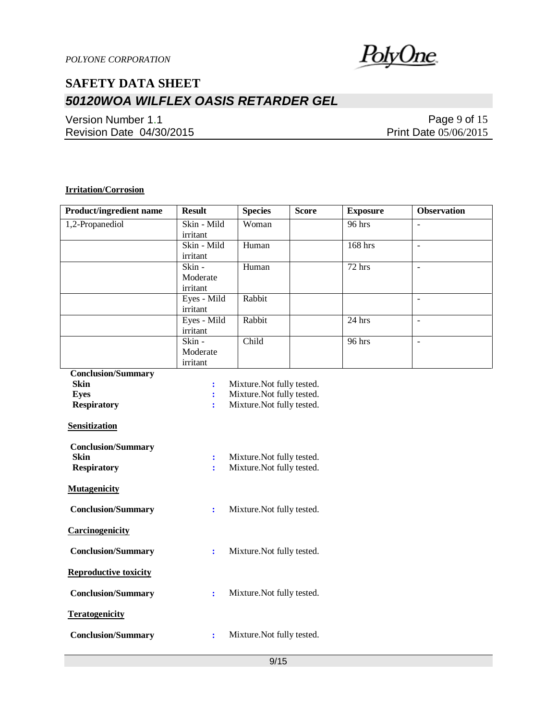

Version Number 1.1 Revision Date 04/30/2015

Page 9 of 15 Print Date 05/06/2015

### **Irritation/Corrosion**

| <b>Product/ingredient name</b>           | <b>Result</b>                   | <b>Species</b>             | <b>Score</b> | <b>Exposure</b> | <b>Observation</b>       |  |
|------------------------------------------|---------------------------------|----------------------------|--------------|-----------------|--------------------------|--|
| 1,2-Propanediol                          | Skin - Mild                     | Woman                      |              | 96 hrs          | $\overline{\phantom{a}}$ |  |
|                                          | irritant                        |                            |              |                 |                          |  |
|                                          | Skin - Mild                     | Human                      |              | $168$ hrs       | $\overline{a}$           |  |
|                                          | irritant                        |                            |              |                 |                          |  |
|                                          | Skin -                          | Human                      |              | $72$ hrs        | $\Box$                   |  |
|                                          | Moderate                        |                            |              |                 |                          |  |
|                                          | irritant                        |                            |              |                 |                          |  |
|                                          | Eyes - Mild                     | Rabbit                     |              |                 | $\sim$                   |  |
|                                          | irritant                        |                            |              |                 |                          |  |
|                                          | Eyes - Mild                     | Rabbit                     |              | $24$ hrs        | $\Box$                   |  |
|                                          | irritant                        |                            |              |                 |                          |  |
|                                          | Skin -<br>Moderate              | Child                      |              | 96 hrs          | $\equiv$                 |  |
|                                          | irritant                        |                            |              |                 |                          |  |
|                                          |                                 |                            |              |                 |                          |  |
| <b>Conclusion/Summary</b><br><b>Skin</b> |                                 | Mixture. Not fully tested. |              |                 |                          |  |
| <b>Eyes</b>                              | $\ddot{\cdot}$<br>÷             | Mixture. Not fully tested. |              |                 |                          |  |
| <b>Respiratory</b>                       | ÷                               | Mixture. Not fully tested. |              |                 |                          |  |
|                                          |                                 |                            |              |                 |                          |  |
| <b>Sensitization</b>                     |                                 |                            |              |                 |                          |  |
| <b>Conclusion/Summary</b>                |                                 |                            |              |                 |                          |  |
| <b>Skin</b>                              | $\ddot{\cdot}$                  | Mixture. Not fully tested. |              |                 |                          |  |
| <b>Respiratory</b>                       | Mixture. Not fully tested.<br>÷ |                            |              |                 |                          |  |
|                                          |                                 |                            |              |                 |                          |  |
| <b>Mutagenicity</b>                      |                                 |                            |              |                 |                          |  |
| <b>Conclusion/Summary</b>                | $\ddot{\cdot}$                  | Mixture. Not fully tested. |              |                 |                          |  |
| <b>Carcinogenicity</b>                   |                                 |                            |              |                 |                          |  |
| <b>Conclusion/Summary</b>                | $\ddot{\cdot}$                  | Mixture. Not fully tested. |              |                 |                          |  |
| <b>Reproductive toxicity</b>             |                                 |                            |              |                 |                          |  |
| <b>Conclusion/Summary</b>                | $\ddot{\cdot}$                  | Mixture. Not fully tested. |              |                 |                          |  |
| <b>Teratogenicity</b>                    |                                 |                            |              |                 |                          |  |
|                                          |                                 |                            |              |                 |                          |  |
| <b>Conclusion/Summary</b>                | $\ddot{\cdot}$                  | Mixture. Not fully tested. |              |                 |                          |  |
|                                          |                                 |                            |              |                 |                          |  |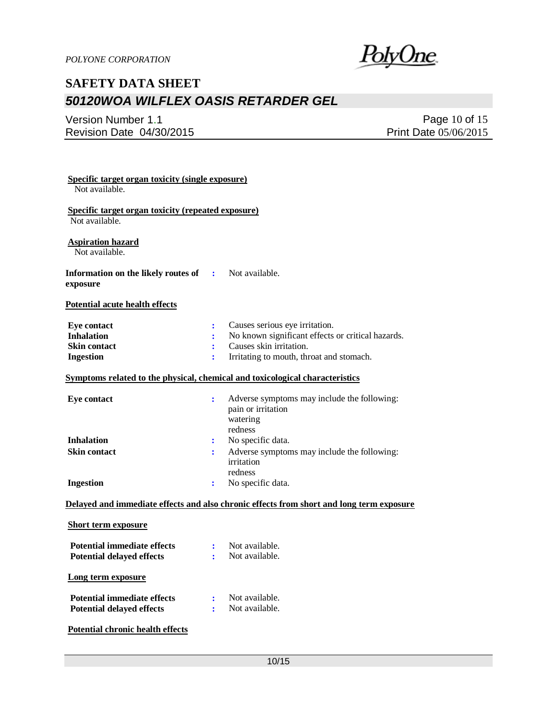<u>PolyOne</u>

### Version Number 1.1 Revision Date 04/30/2015

Page 10 of 15 Print Date 05/06/2015

| <b>Specific target organ toxicity (single exposure)</b><br>Not available.    |                           |                                                                                          |
|------------------------------------------------------------------------------|---------------------------|------------------------------------------------------------------------------------------|
| Specific target organ toxicity (repeated exposure)<br>Not available.         |                           |                                                                                          |
| <b>Aspiration hazard</b><br>Not available.                                   |                           |                                                                                          |
| Information on the likely routes of<br>exposure                              | $\mathbf{r}$              | Not available.                                                                           |
| <b>Potential acute health effects</b>                                        |                           |                                                                                          |
| <b>Eye contact</b>                                                           | $\ddot{\cdot}$            | Causes serious eye irritation.                                                           |
| <b>Inhalation</b>                                                            | ÷                         | No known significant effects or critical hazards.                                        |
| <b>Skin contact</b>                                                          | ÷                         | Causes skin irritation.                                                                  |
| <b>Ingestion</b>                                                             | ÷                         | Irritating to mouth, throat and stomach.                                                 |
| Symptoms related to the physical, chemical and toxicological characteristics |                           |                                                                                          |
| <b>Eye contact</b>                                                           | ÷                         | Adverse symptoms may include the following:<br>pain or irritation<br>watering<br>redness |
|                                                                              |                           |                                                                                          |
| <b>Inhalation</b>                                                            | ÷                         | No specific data.                                                                        |
| <b>Skin contact</b>                                                          | $\ddot{\phantom{a}}$      | Adverse symptoms may include the following:<br>irritation<br>redness                     |
| <b>Ingestion</b>                                                             | ÷                         | No specific data.                                                                        |
|                                                                              |                           | Delayed and immediate effects and also chronic effects from short and long term exposure |
| <b>Short term exposure</b>                                                   |                           |                                                                                          |
| <b>Potential immediate effects</b><br><b>Potential delayed effects</b>       | $\ddot{\phantom{a}}$<br>÷ | Not available.<br>Not available.                                                         |
| Long term exposure                                                           |                           |                                                                                          |
| <b>Potential immediate effects</b><br><b>Potential delayed effects</b>       | ÷<br>÷                    | Not available.<br>Not available.                                                         |
| <b>Potential chronic health effects</b>                                      |                           |                                                                                          |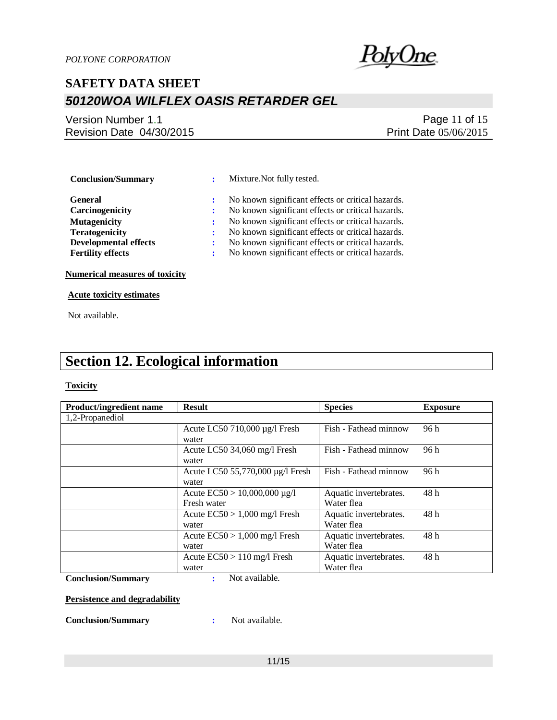

### Version Number 1.1 Revision Date 04/30/2015

### Page 11 of 15 Print Date 05/06/2015

 **Conclusion/Summary :** Mixture.Not fully tested.

 **General :** No known significant effects or critical hazards. **Carcinogenicity** : No known significant effects or critical hazards. **Mutagenicity :** No known significant effects or critical hazards. **Teratogenicity :** No known significant effects or critical hazards.

**Developmental effects :** No known significant effects or critical hazards.

**Fertility effects :** No known significant effects or critical hazards.

**Numerical measures of toxicity**

**Acute toxicity estimates**

Not available.

## **Section 12. Ecological information**

#### **Toxicity**

| <b>Product/ingredient name</b> | <b>Result</b>                     | <b>Species</b>         | <b>Exposure</b> |
|--------------------------------|-----------------------------------|------------------------|-----------------|
| 1,2-Propanediol                |                                   |                        |                 |
|                                | Acute LC50 710,000 µg/l Fresh     | Fish - Fathead minnow  | 96 h            |
|                                | water                             |                        |                 |
|                                | Acute LC50 34,060 mg/l Fresh      | Fish - Fathead minnow  | 96 h            |
|                                | water                             |                        |                 |
|                                | Acute LC50 55,770,000 µg/l Fresh  | Fish - Fathead minnow  | 96h             |
|                                | water                             |                        |                 |
|                                | Acute $EC50 > 10,000,000 \mu g/l$ | Aquatic invertebrates. | 48h             |
|                                | Fresh water                       | Water flea             |                 |
|                                | Acute $EC50 > 1,000$ mg/l Fresh   | Aquatic invertebrates. | 48h             |
|                                | water                             | Water flea             |                 |
|                                | Acute $EC50 > 1,000$ mg/l Fresh   | Aquatic invertebrates. | 48h             |
|                                | water                             | Water flea             |                 |
|                                | Acute $EC50 > 110$ mg/l Fresh     | Aquatic invertebrates. | 48h             |
|                                | water                             | Water flea             |                 |

**Conclusion/Summary :** Not available.

**Persistence and degradability**

**Conclusion/Summary :** Not available.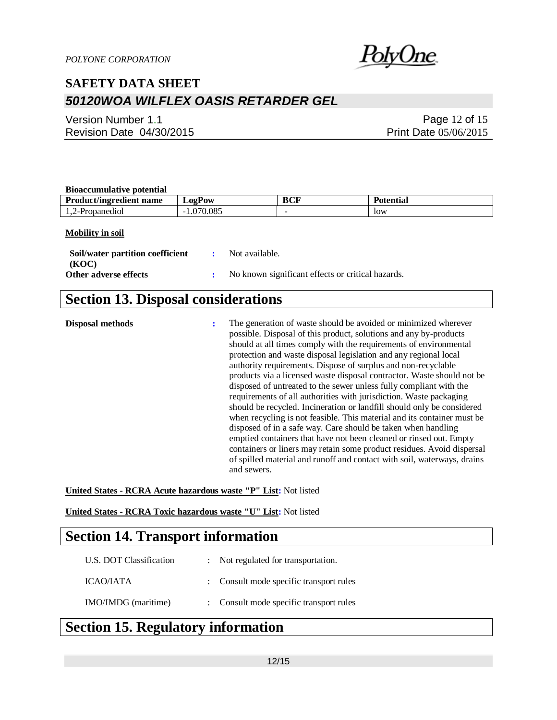

Version Number 1.1 Revision Date 04/30/2015

Page 12 of 15 Print Date 05/06/2015

#### **Bioaccumulative potential**

| Divuccumunu ve Doleman         |               |     |                 |  |
|--------------------------------|---------------|-----|-----------------|--|
| <b>Product/ingredient name</b> | $L$ 02 $P$ 0W | BCF | 'n<br>Potential |  |
| 1,2-Propanediol                | .070.085      |     | low             |  |

#### **Mobility in soil**

| Soil/water partition coefficient | : Not available.                                    |
|----------------------------------|-----------------------------------------------------|
| (KOC)                            |                                                     |
| Other adverse effects            | : No known significant effects or critical hazards. |

### **Section 13. Disposal considerations**

**Disposal methods :** The generation of waste should be avoided or minimized wherever possible. Disposal of this product, solutions and any by-products should at all times comply with the requirements of environmental protection and waste disposal legislation and any regional local authority requirements. Dispose of surplus and non-recyclable products via a licensed waste disposal contractor. Waste should not be disposed of untreated to the sewer unless fully compliant with the requirements of all authorities with jurisdiction. Waste packaging should be recycled. Incineration or landfill should only be considered when recycling is not feasible. This material and its container must be disposed of in a safe way. Care should be taken when handling emptied containers that have not been cleaned or rinsed out. Empty containers or liners may retain some product residues. Avoid dispersal of spilled material and runoff and contact with soil, waterways, drains and sewers.

**United States - RCRA Acute hazardous waste "P" List:** Not listed

**United States - RCRA Toxic hazardous waste "U" List:** Not listed

### **Section 14. Transport information**

| U.S. DOT Classification | : Not regulated for transportation.     |
|-------------------------|-----------------------------------------|
| ICAO/IATA               | : Consult mode specific transport rules |
| IMO/IMDG (maritime)     | : Consult mode specific transport rules |

### **Section 15. Regulatory information**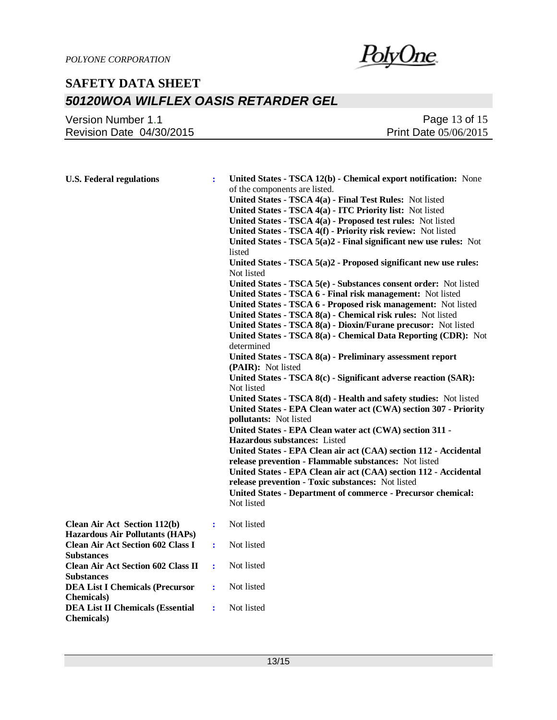

### Version Number 1.1 Revision Date 04/30/2015

Page 13 of 15 Print Date 05/06/2015

| <b>U.S. Federal regulations</b>                                               |                | United States - TSCA 12(b) - Chemical export notification: None<br>of the components are listed.<br>United States - TSCA 4(a) - Final Test Rules: Not listed<br>United States - TSCA 4(a) - ITC Priority list: Not listed<br>United States - TSCA 4(a) - Proposed test rules: Not listed<br>United States - TSCA 4(f) - Priority risk review: Not listed<br>United States - TSCA 5(a)2 - Final significant new use rules: Not<br>listed<br>United States - TSCA 5(a)2 - Proposed significant new use rules:<br>Not listed<br>United States - TSCA 5(e) - Substances consent order: Not listed<br>United States - TSCA 6 - Final risk management: Not listed<br>United States - TSCA 6 - Proposed risk management: Not listed<br>United States - TSCA 8(a) - Chemical risk rules: Not listed<br>United States - TSCA 8(a) - Dioxin/Furane precusor: Not listed<br>United States - TSCA 8(a) - Chemical Data Reporting (CDR): Not<br>determined<br>United States - TSCA 8(a) - Preliminary assessment report<br>(PAIR): Not listed<br>United States - TSCA 8(c) - Significant adverse reaction (SAR):<br>Not listed<br>United States - TSCA 8(d) - Health and safety studies: Not listed<br>United States - EPA Clean water act (CWA) section 307 - Priority<br>pollutants: Not listed<br>United States - EPA Clean water act (CWA) section 311 -<br><b>Hazardous substances:</b> Listed |  |
|-------------------------------------------------------------------------------|----------------|----------------------------------------------------------------------------------------------------------------------------------------------------------------------------------------------------------------------------------------------------------------------------------------------------------------------------------------------------------------------------------------------------------------------------------------------------------------------------------------------------------------------------------------------------------------------------------------------------------------------------------------------------------------------------------------------------------------------------------------------------------------------------------------------------------------------------------------------------------------------------------------------------------------------------------------------------------------------------------------------------------------------------------------------------------------------------------------------------------------------------------------------------------------------------------------------------------------------------------------------------------------------------------------------------------------------------------------------------------------------------------------|--|
|                                                                               |                | United States - EPA Clean air act (CAA) section 112 - Accidental<br>release prevention - Flammable substances: Not listed<br>United States - EPA Clean air act (CAA) section 112 - Accidental<br>release prevention - Toxic substances: Not listed<br><b>United States - Department of commerce - Precursor chemical:</b><br>Not listed                                                                                                                                                                                                                                                                                                                                                                                                                                                                                                                                                                                                                                                                                                                                                                                                                                                                                                                                                                                                                                                |  |
| <b>Clean Air Act Section 112(b)</b><br><b>Hazardous Air Pollutants (HAPs)</b> | ÷              | Not listed                                                                                                                                                                                                                                                                                                                                                                                                                                                                                                                                                                                                                                                                                                                                                                                                                                                                                                                                                                                                                                                                                                                                                                                                                                                                                                                                                                             |  |
| <b>Clean Air Act Section 602 Class I</b><br><b>Substances</b>                 | $\ddot{\cdot}$ | Not listed                                                                                                                                                                                                                                                                                                                                                                                                                                                                                                                                                                                                                                                                                                                                                                                                                                                                                                                                                                                                                                                                                                                                                                                                                                                                                                                                                                             |  |
| <b>Clean Air Act Section 602 Class II</b><br><b>Substances</b>                | ÷              | Not listed                                                                                                                                                                                                                                                                                                                                                                                                                                                                                                                                                                                                                                                                                                                                                                                                                                                                                                                                                                                                                                                                                                                                                                                                                                                                                                                                                                             |  |
| <b>DEA List I Chemicals (Precursor</b><br><b>Chemicals</b> )                  | $\ddot{\cdot}$ | Not listed                                                                                                                                                                                                                                                                                                                                                                                                                                                                                                                                                                                                                                                                                                                                                                                                                                                                                                                                                                                                                                                                                                                                                                                                                                                                                                                                                                             |  |
| <b>DEA List II Chemicals (Essential</b><br><b>Chemicals</b> )                 | $\ddot{\cdot}$ | Not listed                                                                                                                                                                                                                                                                                                                                                                                                                                                                                                                                                                                                                                                                                                                                                                                                                                                                                                                                                                                                                                                                                                                                                                                                                                                                                                                                                                             |  |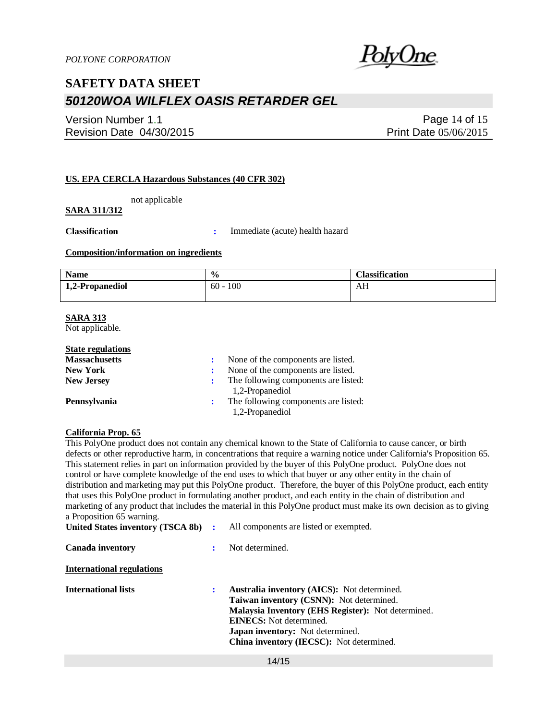

Version Number 1.1 Revision Date 04/30/2015

Page 14 of 15 Print Date 05/06/2015

#### **US. EPA CERCLA Hazardous Substances (40 CFR 302)**

not applicable

### **SARA 311/312**

**Classification :** Immediate (acute) health hazard

#### **Composition/information on ingredients**

| <b>Name</b>     | $\frac{0}{0}$ | <b>Classification</b> |
|-----------------|---------------|-----------------------|
| 1,2-Propanediol | 100<br>$60 -$ | AН                    |
|                 |               |                       |

#### **SARA 313**

Not applicable.

| None of the components are listed.                      |
|---------------------------------------------------------|
| None of the components are listed.                      |
| The following components are listed:<br>1,2-Propanediol |
| The following components are listed:<br>1,2-Propanediol |
|                                                         |

#### **California Prop. 65**

This PolyOne product does not contain any chemical known to the State of California to cause cancer, or birth defects or other reproductive harm, in concentrations that require a warning notice under California's Proposition 65. This statement relies in part on information provided by the buyer of this PolyOne product. PolyOne does not control or have complete knowledge of the end uses to which that buyer or any other entity in the chain of distribution and marketing may put this PolyOne product. Therefore, the buyer of this PolyOne product, each entity that uses this PolyOne product in formulating another product, and each entity in the chain of distribution and marketing of any product that includes the material in this PolyOne product must make its own decision as to giving a Proposition 65 warning.

| United States inventory (TSCA 8b) : | All components are listed or exempted.                                                                                                                                                                                                                                 |
|-------------------------------------|------------------------------------------------------------------------------------------------------------------------------------------------------------------------------------------------------------------------------------------------------------------------|
| <b>Canada inventory</b>             | Not determined.                                                                                                                                                                                                                                                        |
| International regulations           |                                                                                                                                                                                                                                                                        |
| International lists                 | Australia inventory (AICS): Not determined.<br>Taiwan inventory (CSNN): Not determined.<br>Malaysia Inventory (EHS Register): Not determined.<br><b>EINECS:</b> Not determined.<br><b>Japan inventory:</b> Not determined.<br>China inventory (IECSC): Not determined. |